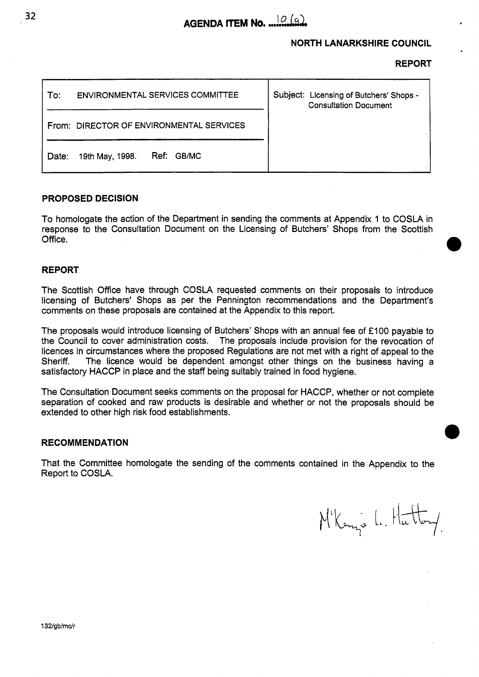

# **NORTH LANARKSHIRE COUNCIL**

**REPORT** 

| <b>ENVIRONMENTAL SERVICES COMMITTEE</b><br>To: | Subject: Licensing of Butchers' Shops -<br><b>Consultation Document</b> |
|------------------------------------------------|-------------------------------------------------------------------------|
| From: DIRECTOR OF ENVIRONMENTAL SERVICES       |                                                                         |
| Ref: GB/MC<br>19th May, 1998.<br>Date:         |                                                                         |

#### **PROPOSED DECISION**

To homologate the action of the Department in sending the comments at Appendix 1 to COSLA in response to the Consultation Document on the Licensing of Butchers' Shops from the Scottish Office.

#### **REPORT**

The Scottish Office have through COSLA requested comments on their proposals to introduce licensing of Butchers' Shops as per the Pennington recommendations and the Department's comments on these proposals are contained at the Appendix to this report.

The proposals would introduce licensing of Butchers' Shops with an annual fee of **E** 100 payable to the Council to cover administration costs. The proposals include provision for the revocation of licences in circumstances where the proposed Regulations are not met with a right of appeal to the Sheriff. The licence would be dependent amongst other things on the business having a satisfactory HACCP in place and the staff being suitably trained in food hygiene.

The Consultation Document seeks comments on the proposal for HACCP, whether or not complete separation of cooked and raw products is desirable and whether or not the proposals should be extended to other high risk food establishments.

#### **RECOMMENDATION**

That the Committee homologate the sending of the comments contained in the Appendix to the Report to COSLA.

M'Kenze L. Hatt

**32**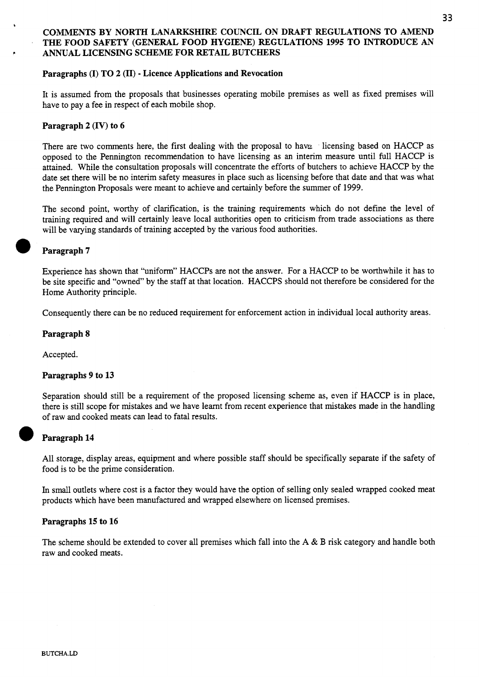# **COMMENTS BY NORTH LANARKSHIRE COUNCIL ON DRAFT REGULATIONS TO AMEND THE FOOD SAFETY (GENERAL FOOD HYGIENE) REGULATIONS 1995 TO INTRODUCE AN ANNUAL LICENSING SCHEME FOR RETAIL BUTCHERS**

## **Paragraphs (I) TO 2 (11)** - **Licence Applications and Revocation**

It is assumed from the proposals that businesses operating mobile premises as well as fixed premises will have to pay a fee in respect of each mobile shop.

# **Paragraph 2 (IV) to 6**

**b** 

**c** 

There are two comments here, the first dealing with the proposal to have licensing based on HACCP as opposed to the Pennington recommendation to have licensing as an interim measure until full HACCP is attained. While the consultation proposals will concentrate the efforts of butchers to achieve HACCP by the date set there will be no interim safety measures in place such as licensing before that date and that was what the Pennington Proposals were meant to achieve and certainly before the summer of 1999.

The second point, worthy of clarification, is the training requirements which do not define the level of training required and will certainly leave local authorities open to criticism from trade associations as there will be varying standards of training accepted by the various food authorities.

# **Paragraph 7**

Experience has shown that "uniform" HACCPs are not the answer. For a HACCP to be worthwhile it has to be site specific and "owned" by the staff at that location. HACCPS should not therefore be considered for the Home Authority principle.

Consequently there can be no reduced requirement for enforcement action in individual local authority areas.

#### **Paragraph 8**

Accepted.

#### **Paragraphs 9 to 13**

Separation should still be a requirement of the proposed licensing scheme as, even if HACCP is in place, there is still scope for mistakes and we have learnt from recent experience that mistakes made in the handling of raw and cooked meats can lead to fatal results.

# *0*  **Paragraph 14**

All storage, display areas, equipment and where possible staff should be specifically separate if the safety of food is to be the prime consideration.

In small outlets where cost is a factor they would have the option of selling only sealed wrapped cooked meat products which have been manufactured and wrapped elsewhere on licensed premises.

#### **Paragraphs 15 to 16**

The scheme should be extended to cover all premises which fall into the A & B risk category and handle both raw and cooked meats.